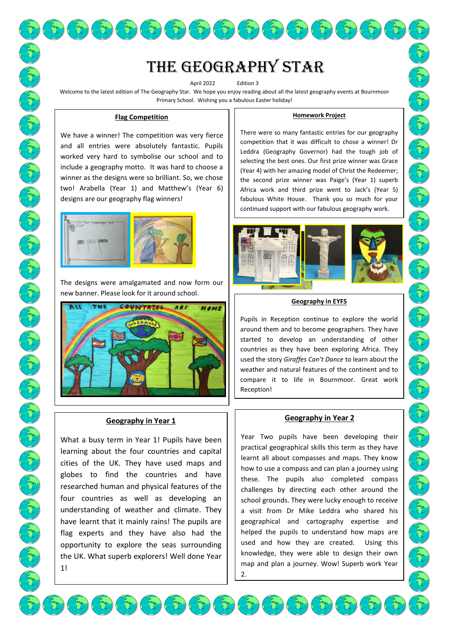# The Geography star

 $\mathbb{E}(\mathfrak{D}(\mathfrak{D})\mathfrak{D}(\mathfrak{D})\mathfrak{D}(\mathfrak{D})\mathfrak{D}(\mathfrak{D})\mathfrak{D}(\mathfrak{D})\mathfrak{D}(\mathfrak{D})$ 

April 2022 Fdition 3

Welcome to the latest edition of The Geography Star. We hope you enjoy reading about all the latest geography events at Bournmoor Primary School. Wishing you a fabulous Easter holiday!

 $\{\varpi\}(\varpi)$ 

#### **Flag Competition**

We have a winner! The competition was very fierce and all entries were absolutely fantastic. Pupils worked very hard to symbolise our school and to include a geography motto. It was hard to choose a winner as the designs were so brilliant. So, we chose two! Arabella (Year 1) and Matthew's (Year 6) designs are our geography flag winners!



The designs were amalgamated and now form our new banner. Please look for it around school.



#### **Geography in Year 1**

What a busy term in Year 1! Pupils have been learning about the four countries and capital cities of the UK. They have used maps and globes to find the countries and have researched human and physical features of the four countries as well as developing an understanding of weather and climate. They have learnt that it mainly rains! The pupils are flag experts and they have also had the opportunity to explore the seas surrounding the UK. What superb explorers! Well done Year 1!

#### **Homework Project**

There were so many fantastic entries for our geography competition that it was difficult to chose a winner! Dr Leddra (Geography Governor) had the tough job of selecting the best ones. Our first prize winner was Grace (Year 4) with her amazing model of Christ the Redeemer; the second prize winner was Paige's (Year 1) superb Africa work and third prize went to Jack's (Year 5) fabulous White House. Thank you so much for your continued support with our fabulous geography work.



#### **Geography in EYFS**

Pupils in Reception continue to explore the world around them and to become geographers. They have started to develop an understanding of other countries as they have been exploring Africa. They used the story *Giraffes Can't Dance* to learn about the weather and natural features of the continent and to compare it to life in Bournmoor. Great work Reception!

#### **Geography in Year 2**

Year Two pupils have been developing their practical geographical skills this term as they have learnt all about compasses and maps. They know how to use a compass and can plan a journey using these. The pupils also completed compass challenges by directing each other around the school grounds. They were lucky enough to receive a visit from Dr Mike Leddra who shared his geographical and cartography expertise and helped the pupils to understand how maps are used and how they are created. Using this knowledge, they were able to design their own map and plan a journey. Wow! Superb work Year 2.